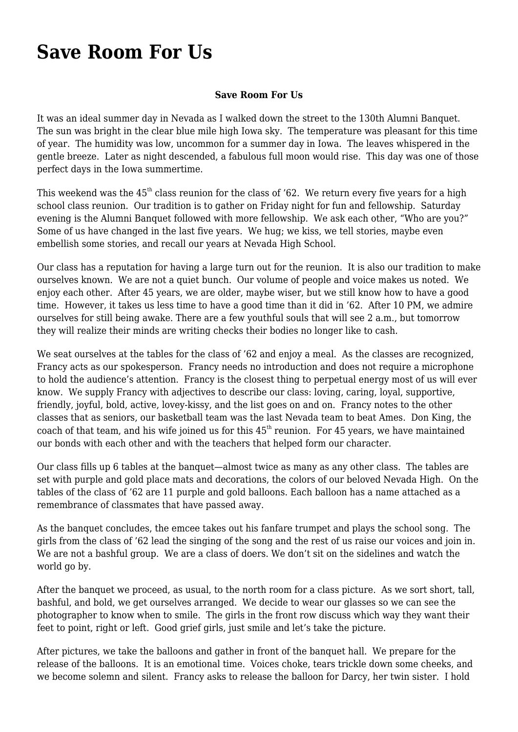## **[Save Room For Us](https://www.garystrattonfirefighter.com/2015/08/07/save-room-for-us/)**

## **Save Room For Us**

It was an ideal summer day in Nevada as I walked down the street to the 130th Alumni Banquet. The sun was bright in the clear blue mile high Iowa sky. The temperature was pleasant for this time of year. The humidity was low, uncommon for a summer day in Iowa. The leaves whispered in the gentle breeze. Later as night descended, a fabulous full moon would rise. This day was one of those perfect days in the Iowa summertime.

This weekend was the  $45<sup>th</sup>$  class reunion for the class of '62. We return every five years for a high school class reunion. Our tradition is to gather on Friday night for fun and fellowship. Saturday evening is the Alumni Banquet followed with more fellowship. We ask each other, "Who are you?" Some of us have changed in the last five years. We hug; we kiss, we tell stories, maybe even embellish some stories, and recall our years at Nevada High School.

Our class has a reputation for having a large turn out for the reunion. It is also our tradition to make ourselves known. We are not a quiet bunch. Our volume of people and voice makes us noted. We enjoy each other. After 45 years, we are older, maybe wiser, but we still know how to have a good time. However, it takes us less time to have a good time than it did in '62. After 10 PM, we admire ourselves for still being awake. There are a few youthful souls that will see 2 a.m., but tomorrow they will realize their minds are writing checks their bodies no longer like to cash.

We seat ourselves at the tables for the class of '62 and enjoy a meal. As the classes are recognized, Francy acts as our spokesperson. Francy needs no introduction and does not require a microphone to hold the audience's attention. Francy is the closest thing to perpetual energy most of us will ever know. We supply Francy with adjectives to describe our class: loving, caring, loyal, supportive, friendly, joyful, bold, active, lovey-kissy, and the list goes on and on. Francy notes to the other classes that as seniors, our basketball team was the last Nevada team to beat Ames. Don King, the coach of that team, and his wife joined us for this  $45<sup>th</sup>$  reunion. For 45 years, we have maintained our bonds with each other and with the teachers that helped form our character.

Our class fills up 6 tables at the banquet—almost twice as many as any other class. The tables are set with purple and gold place mats and decorations, the colors of our beloved Nevada High. On the tables of the class of '62 are 11 purple and gold balloons. Each balloon has a name attached as a remembrance of classmates that have passed away.

As the banquet concludes, the emcee takes out his fanfare trumpet and plays the school song. The girls from the class of '62 lead the singing of the song and the rest of us raise our voices and join in. We are not a bashful group. We are a class of doers. We don't sit on the sidelines and watch the world go by.

After the banquet we proceed, as usual, to the north room for a class picture. As we sort short, tall, bashful, and bold, we get ourselves arranged. We decide to wear our glasses so we can see the photographer to know when to smile. The girls in the front row discuss which way they want their feet to point, right or left. Good grief girls, just smile and let's take the picture.

After pictures, we take the balloons and gather in front of the banquet hall. We prepare for the release of the balloons. It is an emotional time. Voices choke, tears trickle down some cheeks, and we become solemn and silent. Francy asks to release the balloon for Darcy, her twin sister. I hold